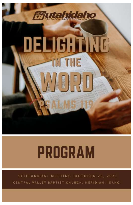

# **PROGRAM**

57TH ANNUAL MEETING . OCTOBER 29, 2021 CENTRAL VALLEY BAPTIST CHURCH, MERIDIAN, IDAHO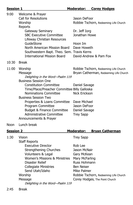| <b>Session 1</b> |                                                                                                                                                         | <b>Moderator:</b>                                                               | <b>Corey Hodges</b>            |  |
|------------------|---------------------------------------------------------------------------------------------------------------------------------------------------------|---------------------------------------------------------------------------------|--------------------------------|--|
| 9:00             | Welcome & Prayer<br><b>Call for Resolutions</b><br>Worship<br>Reports                                                                                   | Jason DeFoor<br>Robbie Tschorn, Redeeming Life Church                           |                                |  |
|                  | Gateway Seminary<br><b>SBC Executive Committee</b><br>Lifeway Christian Resources                                                                       |                                                                                 | Dr. Jeff Iorg<br>Jonathan Howe |  |
|                  | GuideStone<br>North American Mission Board<br>Southwestern Bapt. Theo. Sem. Travis Kerns                                                                | Hoon Im<br>Dave Howeth                                                          |                                |  |
|                  | <b>International Mission Board</b>                                                                                                                      |                                                                                 | David-Andrew & Pam Fox         |  |
| 10:30            | <b>Break</b>                                                                                                                                            |                                                                                 |                                |  |
| 11:00            | Worship<br>Message<br>Delighting in the Word-Psalm 119<br><b>Business Session One</b>                                                                   | Robbie Tschorn, Redeeming Life Church<br>Bryan Catherman, Redeeming Life Church |                                |  |
|                  | <b>Constitution Committee</b><br>Time/Place/Preacher Committee Billy Galloska<br><b>Nominations Committee</b><br><b>Business Session Two</b>            | Daniel Savage<br><b>Nick Erickson</b>                                           |                                |  |
|                  | Properties & Loans Committee<br>Program Committee<br><b>Budget &amp; Finance Committee</b><br><b>Administrative Committee</b><br>Announcements & Prayer | Dave Michael<br>Jason DeFoor<br>Daniel Savage<br><b>Trey Sapp</b>               |                                |  |
| Noon             | Lunch break                                                                                                                                             |                                                                                 |                                |  |
| <b>Session 2</b> |                                                                                                                                                         | Moderator:                                                                      | <b>Bryan Catherman</b>         |  |
| 1:30             | Vision<br><b>Staff Reports</b>                                                                                                                          | <b>Trey Sapp</b>                                                                |                                |  |
|                  | <b>Executive Director</b><br><b>Strengthening Churches</b>                                                                                              | Rob Lee                                                                         | Jason McNair                   |  |

Volunteers & Legal Gary McKean Women's Missions & Ministries Mary McFarling Disaster Relief **Russ Hohmann** Collegiate Ministries Ben Neiser Send Utah/Idaho Mike Palmer<br>Worship Mobie Tscho

Delighting in the Word—Psalm 119

Message **Corey Hodges**, The Point Church

Robbie Tschorn, Redeeming Life Church

2:45 Break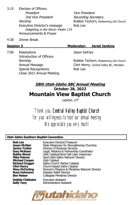3:15 Election of Officers President Vice President 2nd Vice President Recording Secretary Worship **Example 20** Robbie Tschorn, Redeeming Life Church Executive Director's message Rob Lee Delighting in the Word—Psalm 119 Announcements & Prayer

4:30 Dinner Break

7:00 Resolutions Jason DeFoor Introduction of Officers Special Recognitions **Rob** Lee Close 2021 Annual Meeting

# **Session 3 Moderator: Jared Jenkins**

Worship **Matter Channel Robbie Tschorn**, Redeeming Life Church Annual Message Clint Henry, Central Valley BC, Meridian

## **58th Utah-Idaho SBC Annual Meeting October 28, 2022 Mountain View Baptist Church**

Layton, UT

Thank you, Central Valley Baptist Church for your willingness to host our annual meeting We appreciate you very much!

#### **Utah-Idaho Southern Baptist Convention**

**Michael Cooper** Utah Catalyst

**Debbie Chidester** Executive Assistant<br> **Sally Teny** Administrative Assis

**Rob Lee** Executive Director/Treasurer **Jason McNair** State Missionary for Strengthening Churches **Janice Trotter** Director of Business Services<br>**Gary McKean** Legal, Missions & Partnership Legal, Missions & Partnership Coordinator **Bobby Wood Christian Catalyst/Send Salt Lake missionary<br><b>Mike Palmer** Send Utah-Idaho Network Director **Mike Palmer** Send Utah-Idaho Network Director **Richard Dugger** Idaho Church Planter Catalyst **Clint Henry** Church-based Idaho Catalyst **Mary McFarling** Women's Missions & Ministries Network Director **Russ Hohmann** Disaster Relief Director **Ben Neiser Collegiate Ministries Director** 

**Sally Teny** Administrative Assistant